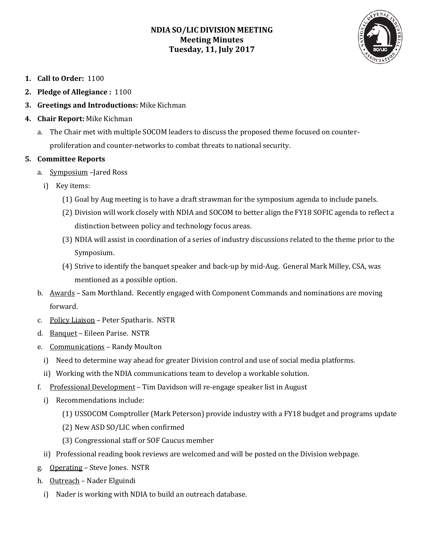# **NDIA SO/LIC DIVISION MEETING Meeting Minutes Tuesday, 11, July 2017**



- **1. Call to Order:** 1100
- **2. Pledge of Allegiance :** 1100
- **3. Greetings and Introductions:** Mike Kichman
- **4. Chair Report:** Mike Kichman
	- a. The Chair met with multiple SOCOM leaders to discuss the proposed theme focused on counterproliferation and counter-networks to combat threats to national security.

#### **5. Committee Reports**

- a. Symposium –Jared Ross
	- i) Key items:
		- (1) Goal by Aug meeting is to have a draft strawman for the symposium agenda to include panels.
		- (2) Division will work closely with NDIA and SOCOM to better align the FY18 SOFIC agenda to reflect a distinction between policy and technology focus areas.
		- (3) NDIA will assist in coordination of a series of industry discussions related to the theme prior to the Symposium.
		- (4) Strive to identify the banquet speaker and back-up by mid-Aug. General Mark Milley, CSA, was mentioned as a possible option.
- b. Awards Sam Morthland. Recently engaged with Component Commands and nominations are moving forward.
- c. Policy Liaison Peter Spatharis. NSTR
- d. Banquet Eileen Parise. NSTR
- e. Communications Randy Moulton
	- i) Need to determine way ahead for greater Division control and use of social media platforms.
	- ii) Working with the NDIA communications team to develop a workable solution.
- f. Professional Development Tim Davidson will re-engage speaker list in August
	- i) Recommendations include:
		- (1) USSOCOM Comptroller (Mark Peterson) provide industry with a FY18 budget and programs update
		- (2) New ASD SO/LIC when confirmed
		- (3) Congressional staff or SOF Caucus member
	- ii) Professional reading book reviews are welcomed and will be posted on the Division webpage.
- g. Operating Steve Jones. NSTR
- h. Outreach Nader Elguindi
	- i) Nader is working with NDIA to build an outreach database.